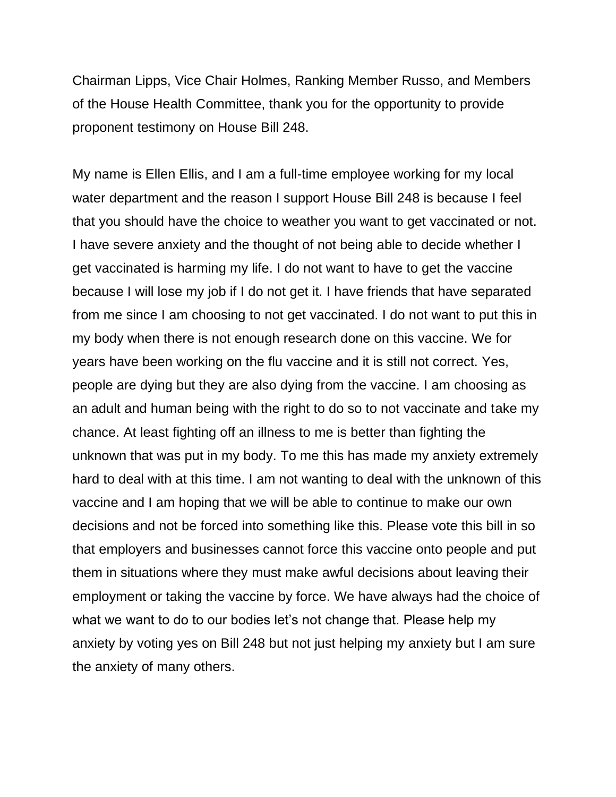Chairman Lipps, Vice Chair Holmes, Ranking Member Russo, and Members of the House Health Committee, thank you for the opportunity to provide proponent testimony on House Bill 248.

My name is Ellen Ellis, and I am a full-time employee working for my local water department and the reason I support House Bill 248 is because I feel that you should have the choice to weather you want to get vaccinated or not. I have severe anxiety and the thought of not being able to decide whether I get vaccinated is harming my life. I do not want to have to get the vaccine because I will lose my job if I do not get it. I have friends that have separated from me since I am choosing to not get vaccinated. I do not want to put this in my body when there is not enough research done on this vaccine. We for years have been working on the flu vaccine and it is still not correct. Yes, people are dying but they are also dying from the vaccine. I am choosing as an adult and human being with the right to do so to not vaccinate and take my chance. At least fighting off an illness to me is better than fighting the unknown that was put in my body. To me this has made my anxiety extremely hard to deal with at this time. I am not wanting to deal with the unknown of this vaccine and I am hoping that we will be able to continue to make our own decisions and not be forced into something like this. Please vote this bill in so that employers and businesses cannot force this vaccine onto people and put them in situations where they must make awful decisions about leaving their employment or taking the vaccine by force. We have always had the choice of what we want to do to our bodies let's not change that. Please help my anxiety by voting yes on Bill 248 but not just helping my anxiety but I am sure the anxiety of many others.